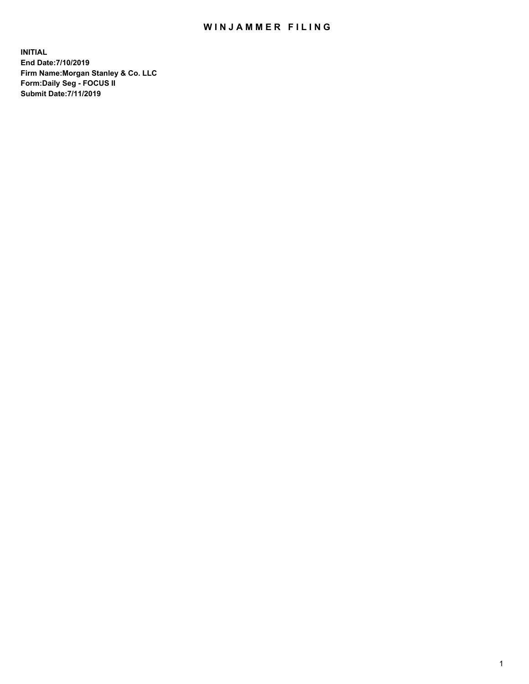## WIN JAMMER FILING

**INITIAL End Date:7/10/2019 Firm Name:Morgan Stanley & Co. LLC Form:Daily Seg - FOCUS II Submit Date:7/11/2019**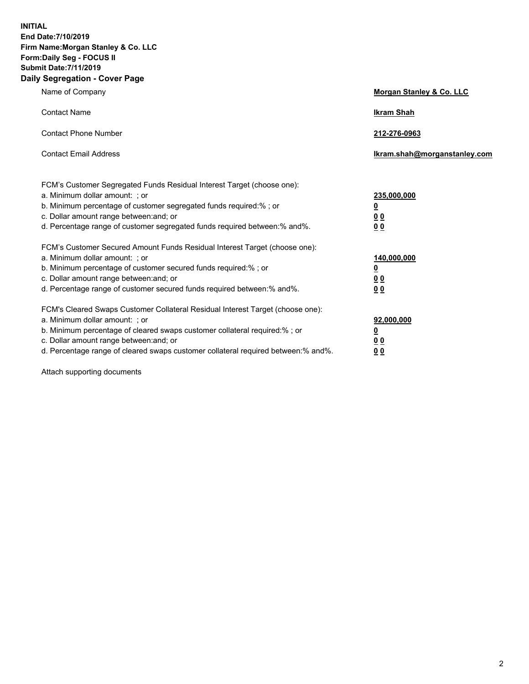**INITIAL End Date:7/10/2019 Firm Name:Morgan Stanley & Co. LLC Form:Daily Seg - FOCUS II Submit Date:7/11/2019 Daily Segregation - Cover Page**

| Name of Company                                                                                                                                                                                                                                                                                                               | Morgan Stanley & Co. LLC                               |
|-------------------------------------------------------------------------------------------------------------------------------------------------------------------------------------------------------------------------------------------------------------------------------------------------------------------------------|--------------------------------------------------------|
| <b>Contact Name</b>                                                                                                                                                                                                                                                                                                           | <b>Ikram Shah</b>                                      |
| <b>Contact Phone Number</b>                                                                                                                                                                                                                                                                                                   | 212-276-0963                                           |
| <b>Contact Email Address</b>                                                                                                                                                                                                                                                                                                  | Ikram.shah@morganstanley.com                           |
| FCM's Customer Segregated Funds Residual Interest Target (choose one):<br>a. Minimum dollar amount: ; or<br>b. Minimum percentage of customer segregated funds required:% ; or<br>c. Dollar amount range between: and; or<br>d. Percentage range of customer segregated funds required between:% and%.                        | 235,000,000<br><u>0</u><br><u>00</u><br>0 <sup>0</sup> |
| FCM's Customer Secured Amount Funds Residual Interest Target (choose one):<br>a. Minimum dollar amount: ; or<br>b. Minimum percentage of customer secured funds required:%; or<br>c. Dollar amount range between: and; or<br>d. Percentage range of customer secured funds required between:% and%.                           | 140,000,000<br><u>0</u><br><u>00</u><br>0 <sub>0</sub> |
| FCM's Cleared Swaps Customer Collateral Residual Interest Target (choose one):<br>a. Minimum dollar amount: ; or<br>b. Minimum percentage of cleared swaps customer collateral required:%; or<br>c. Dollar amount range between: and; or<br>d. Percentage range of cleared swaps customer collateral required between:% and%. | 92,000,000<br><u>0</u><br>0 Q<br>00                    |

Attach supporting documents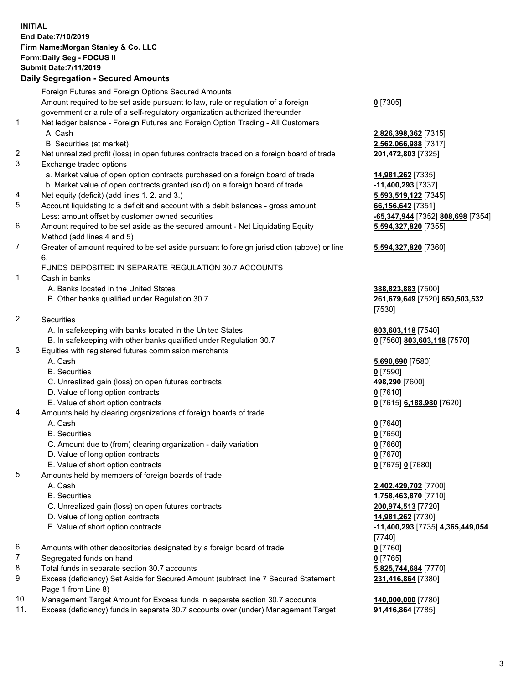## **INITIAL End Date:7/10/2019 Firm Name:Morgan Stanley & Co. LLC Form:Daily Seg - FOCUS II Submit Date:7/11/2019**

## **Daily Segregation - Secured Amounts**

|    | Foreign Futures and Foreign Options Secured Amounts                                         |                          |
|----|---------------------------------------------------------------------------------------------|--------------------------|
|    | Amount required to be set aside pursuant to law, rule or regulation of a foreign            | $0$ [7305]               |
|    | government or a rule of a self-regulatory organization authorized thereunder                |                          |
| 1. | Net ledger balance - Foreign Futures and Foreign Option Trading - All Customers             |                          |
|    | A. Cash                                                                                     | 2,826,398,362 [731       |
|    | B. Securities (at market)                                                                   | 2,562,066,988 [731       |
| 2. | Net unrealized profit (loss) in open futures contracts traded on a foreign board of trade   | 201,472,803 [7325]       |
| 3. | Exchange traded options                                                                     |                          |
|    | a. Market value of open option contracts purchased on a foreign board of trade              | <u>14,981,262</u> [7335] |
|    | b. Market value of open contracts granted (sold) on a foreign board of trade                | -11,400,293 [7337]       |
| 4. | Net equity (deficit) (add lines 1.2. and 3.)                                                | 5,593,519,122 [734       |
| 5. | Account liquidating to a deficit and account with a debit balances - gross amount           | 66,156,642 [7351]        |
|    | Less: amount offset by customer owned securities                                            | -65,347,944 [7352]       |
| 6. | Amount required to be set aside as the secured amount - Net Liquidating Equity              | 5,594,327,820 [735       |
|    | Method (add lines 4 and 5)                                                                  |                          |
| 7. | Greater of amount required to be set aside pursuant to foreign jurisdiction (above) or line | 5,594,327,820 [736       |
|    | 6.                                                                                          |                          |
|    | FUNDS DEPOSITED IN SEPARATE REGULATION 30.7 ACCOUNTS                                        |                          |
| 1. | Cash in banks                                                                               |                          |
|    | A. Banks located in the United States                                                       | 388,823,883 [7500]       |
|    | B. Other banks qualified under Regulation 30.7                                              | 261,679,649 [7520]       |
|    |                                                                                             | [7530]                   |
| 2. | Securities                                                                                  |                          |
|    | A. In safekeeping with banks located in the United States                                   | 803,603,118 [7540]       |
|    | B. In safekeeping with other banks qualified under Regulation 30.7                          | 0 [7560] 803,603,1       |
| 3. | Equities with registered futures commission merchants                                       |                          |
|    | A. Cash                                                                                     | 5,690,690 [7580]         |
|    | <b>B.</b> Securities                                                                        | $0$ [7590]               |
|    | C. Unrealized gain (loss) on open futures contracts                                         | 498,290 [7600]           |
|    | D. Value of long option contracts                                                           | $0$ [7610]               |
| 4. | E. Value of short option contracts                                                          | 0 [7615] 6,188,980       |
|    | Amounts held by clearing organizations of foreign boards of trade<br>A. Cash                | $0$ [7640]               |
|    | <b>B.</b> Securities                                                                        | $0$ [7650]               |
|    | C. Amount due to (from) clearing organization - daily variation                             | $0$ [7660]               |
|    | D. Value of long option contracts                                                           | $0$ [7670]               |
|    | E. Value of short option contracts                                                          | 0 [7675] 0 [7680]        |
| 5. | Amounts held by members of foreign boards of trade                                          |                          |
|    | A. Cash                                                                                     | 2,402,429,702 [770       |
|    | <b>B.</b> Securities                                                                        | 1,758,463,870 [771       |
|    | C. Unrealized gain (loss) on open futures contracts                                         | 200,974,513 [7720]       |
|    | D. Value of long option contracts                                                           | 14,981,262 [7730]        |
|    | E. Value of short option contracts                                                          | -11,400,293 [7735]       |
|    |                                                                                             | [7740]                   |
| 6. | Amounts with other depositories designated by a foreign board of trade                      | $0$ [7760]               |
| 7. | Segregated funds on hand                                                                    | $0$ [7765]               |
| 8. | Total funds in separate section 30.7 accounts                                               | 5,825,744,684 [777       |
| 9. | Excess (deficiency) Set Aside for Secured Amount (subtract line 7 Secured Statement         | 231,416,864 [7380]       |
|    | Page 1 from Line 8)                                                                         |                          |
|    |                                                                                             |                          |

- 10. Management Target Amount for Excess funds in separate section 30.7 accounts **140,000,000** [7780]
- 11. Excess (deficiency) funds in separate 30.7 accounts over (under) Management Target **91,416,864** [7785]

**898,362** [7315] **066,988** [7317]

<mark>0,293</mark> [7337] <mark>19,122</mark> [7345] Less: amount offset by customer owned securities **-65,347,944** [7352] **808,698** [7354] **5,594,327,820** [7355]

## **5,594,327,820** [7360]

 A. Banks located in the United States **388,823,883** [7500] B. Other banks qualified under Regulation 30.7 **261,679,649** [7520] **650,503,532**

**3,118** [7540] B<mark>803,603,118</mark> [7570]

E. Value of short option contracts **0** [7615] **6,188,980** [7620]

 A. Cash **2,402,429,702** [7700] **163,870** [7710] C. Unrealized gain (loss) on open futures contracts **200,974,513** [7720] E. Value of short option contracts **-11,400,293** [7735] **4,365,449,054 8. 12. 12. 12.7 and 18.7 and 18.7 and 18.7 and 18.7 and 18.7 and 18.7 and 18.7 and 18.7 and 18.7 and 18.7 and 18.7 and 18.7 and 18.7 and 18.7 and 18.7 and 18.7 and 18.7 and 18.7 and 18.7 and 18.7 and 18.7 and 18.7 and 18. 2.864** [7380]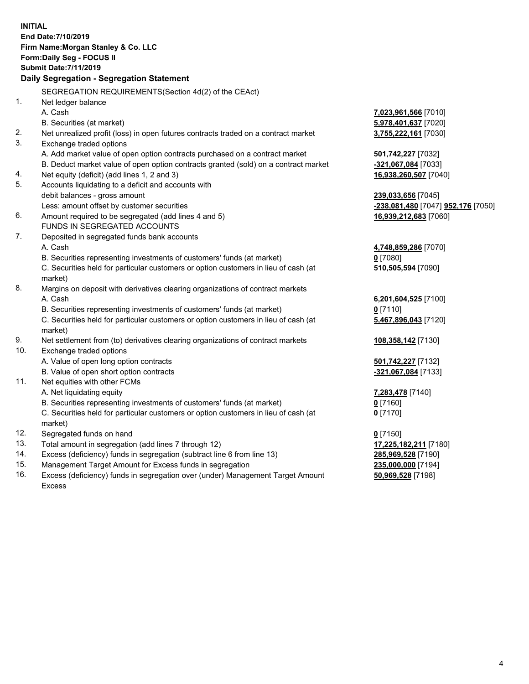**INITIAL End Date:7/10/2019 Firm Name:Morgan Stanley & Co. LLC Form:Daily Seg - FOCUS II Submit Date:7/11/2019 Daily Segregation - Segregation Statement** SEGREGATION REQUIREMENTS(Section 4d(2) of the CEAct) 1. Net ledger balance A. Cash **7,023,961,566** [7010] B. Securities (at market) **5,978,401,637** [7020] 2. Net unrealized profit (loss) in open futures contracts traded on a contract market **3,755,222,161** [7030] 3. Exchange traded options A. Add market value of open option contracts purchased on a contract market **501,742,227** [7032] B. Deduct market value of open option contracts granted (sold) on a contract market **-321,067,084** [7033] 4. Net equity (deficit) (add lines 1, 2 and 3) **16,938,260,507** [7040] 5. Accounts liquidating to a deficit and accounts with debit balances - gross amount **239,033,656** [7045] Less: amount offset by customer securities **-238,081,480** [7047] **952,176** [7050] 6. Amount required to be segregated (add lines 4 and 5) **16,939,212,683** [7060] FUNDS IN SEGREGATED ACCOUNTS 7. Deposited in segregated funds bank accounts A. Cash **4,748,859,286** [7070] B. Securities representing investments of customers' funds (at market) **0** [7080] C. Securities held for particular customers or option customers in lieu of cash (at market) **510,505,594** [7090] 8. Margins on deposit with derivatives clearing organizations of contract markets A. Cash **6,201,604,525** [7100] B. Securities representing investments of customers' funds (at market) **0** [7110] C. Securities held for particular customers or option customers in lieu of cash (at market) **5,467,896,043** [7120] 9. Net settlement from (to) derivatives clearing organizations of contract markets **108,358,142** [7130] 10. Exchange traded options A. Value of open long option contracts **501,742,227** [7132] B. Value of open short option contracts **-321,067,084** [7133] 11. Net equities with other FCMs A. Net liquidating equity **7,283,478** [7140] B. Securities representing investments of customers' funds (at market) **0** [7160] C. Securities held for particular customers or option customers in lieu of cash (at market) **0** [7170] 12. Segregated funds on hand **0** [7150] 13. Total amount in segregation (add lines 7 through 12) **17,225,182,211** [7180] 14. Excess (deficiency) funds in segregation (subtract line 6 from line 13) **285,969,528** [7190] 15. Management Target Amount for Excess funds in segregation **235,000,000** [7194]

16. Excess (deficiency) funds in segregation over (under) Management Target Amount Excess

**50,969,528** [7198]